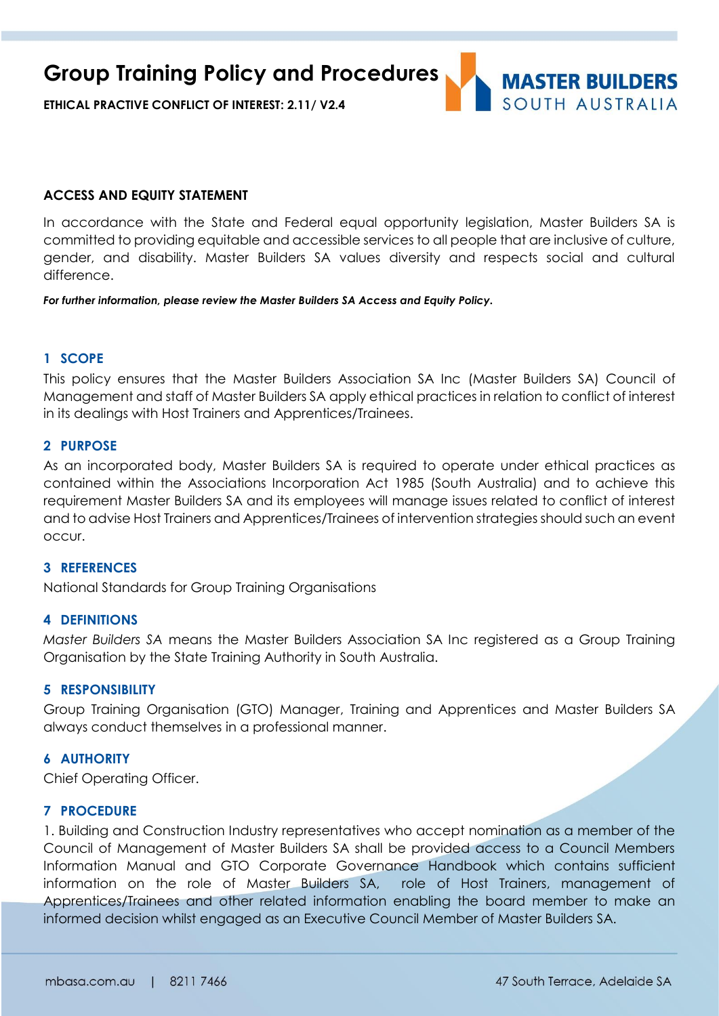**Group Training Policy and Procedures**

**ETHICAL PRACTIVE CONFLICT OF INTEREST: 2.11/ V2.4**

# **MASTER BUILDERS** SOUTH AUSTRALIA

#### **ACCESS AND EQUITY STATEMENT**

In accordance with the State and Federal equal opportunity legislation, Master Builders SA is committed to providing equitable and accessible services to all people that are inclusive of culture, gender, and disability. Master Builders SA values diversity and respects social and cultural difference.

*For further information, please review the Master Builders SA Access and Equity Policy.*

#### **1 SCOPE**

This policy ensures that the Master Builders Association SA Inc (Master Builders SA) Council of Management and staff of Master Builders SA apply ethical practices in relation to conflict of interest in its dealings with Host Trainers and Apprentices/Trainees.

#### **2 PURPOSE**

As an incorporated body, Master Builders SA is required to operate under ethical practices as contained within the Associations Incorporation Act 1985 (South Australia) and to achieve this requirement Master Builders SA and its employees will manage issues related to conflict of interest and to advise Host Trainers and Apprentices/Trainees of intervention strategies should such an event occur.

#### **3 REFERENCES**

National Standards for Group Training Organisations

#### **4 DEFINITIONS**

*Master Builders SA* means the Master Builders Association SA Inc registered as a Group Training Organisation by the State Training Authority in South Australia.

#### **5 RESPONSIBILITY**

Group Training Organisation (GTO) Manager, Training and Apprentices and Master Builders SA always conduct themselves in a professional manner.

#### **6 AUTHORITY**

Chief Operating Officer.

### **7 PROCEDURE**

1. Building and Construction Industry representatives who accept nomination as a member of the Council of Management of Master Builders SA shall be provided access to a Council Members Information Manual and GTO Corporate Governance Handbook which contains sufficient information on the role of Master Builders SA, role of Host Trainers, management of Apprentices/Trainees and other related information enabling the board member to make an informed decision whilst engaged as an Executive Council Member of Master Builders SA.